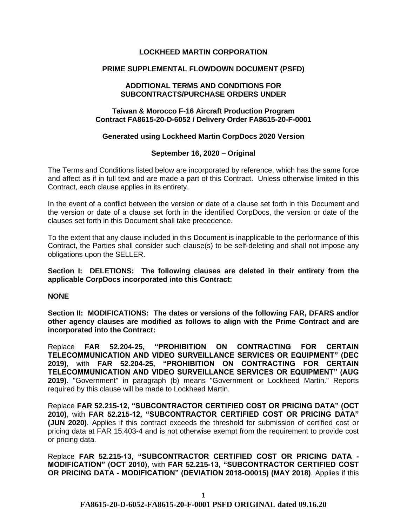# **LOCKHEED MARTIN CORPORATION**

## **PRIME SUPPLEMENTAL FLOWDOWN DOCUMENT (PSFD)**

#### **ADDITIONAL TERMS AND CONDITIONS FOR SUBCONTRACTS/PURCHASE ORDERS UNDER**

## **Taiwan & Morocco F-16 Aircraft Production Program Contract FA8615-20-D-6052 / Delivery Order FA8615-20-F-0001**

#### **Generated using Lockheed Martin CorpDocs 2020 Version**

### **September 16, 2020 – Original**

The Terms and Conditions listed below are incorporated by reference, which has the same force and affect as if in full text and are made a part of this Contract. Unless otherwise limited in this Contract, each clause applies in its entirety.

In the event of a conflict between the version or date of a clause set forth in this Document and the version or date of a clause set forth in the identified CorpDocs, the version or date of the clauses set forth in this Document shall take precedence.

To the extent that any clause included in this Document is inapplicable to the performance of this Contract, the Parties shall consider such clause(s) to be self-deleting and shall not impose any obligations upon the SELLER.

**Section I: DELETIONS: The following clauses are deleted in their entirety from the applicable CorpDocs incorporated into this Contract:**

**NONE**

**Section II: MODIFICATIONS: The dates or versions of the following FAR, DFARS and/or other agency clauses are modified as follows to align with the Prime Contract and are incorporated into the Contract:**

Replace **FAR 52.204-25, "PROHIBITION ON CONTRACTING FOR CERTAIN TELECOMMUNICATION AND VIDEO SURVEILLANCE SERVICES OR EQUIPMENT" (DEC 2019)**, with **FAR 52.204-25, "PROHIBITION ON CONTRACTING FOR CERTAIN TELECOMMUNICATION AND VIDEO SURVEILLANCE SERVICES OR EQUIPMENT" (AUG 2019)**. "Government" in paragraph (b) means "Government or Lockheed Martin." Reports required by this clause will be made to Lockheed Martin.

Replace **FAR 52.215-12, "SUBCONTRACTOR CERTIFIED COST OR PRICING DATA" (OCT 2010)**, with **FAR 52.215-12, "SUBCONTRACTOR CERTIFIED COST OR PRICING DATA" (JUN 2020)**. Applies if this contract exceeds the threshold for submission of certified cost or pricing data at FAR 15.403-4 and is not otherwise exempt from the requirement to provide cost or pricing data.

Replace **FAR 52.215-13, "SUBCONTRACTOR CERTIFIED COST OR PRICING DATA - MODIFICATION" (OCT 2010)**, with **FAR 52.215-13, "SUBCONTRACTOR CERTIFIED COST OR PRICING DATA - MODIFICATION" (DEVIATION 2018-O0015) (MAY 2018)**. Applies if this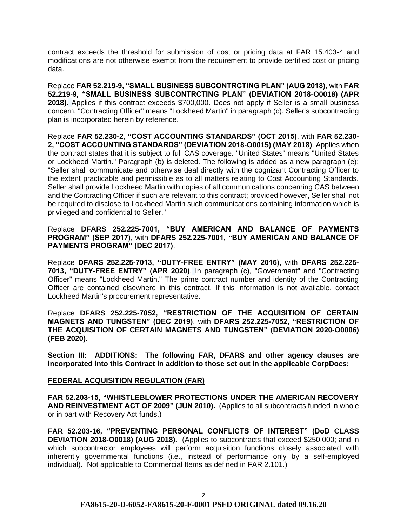contract exceeds the threshold for submission of cost or pricing data at FAR 15.403-4 and modifications are not otherwise exempt from the requirement to provide certified cost or pricing data.

Replace **FAR 52.219-9, "SMALL BUSINESS SUBCONTRCTING PLAN" (AUG 2018)**, with **FAR 52.219-9, "SMALL BUSINESS SUBCONTRCTING PLAN" (DEVIATION 2018-O0018) (APR 2018)**. Applies if this contract exceeds \$700,000. Does not apply if Seller is a small business concern. "Contracting Officer" means "Lockheed Martin" in paragraph (c). Seller's subcontracting plan is incorporated herein by reference.

Replace **FAR 52.230-2, "COST ACCOUNTING STANDARDS" (OCT 2015)**, with **FAR 52.230- 2, "COST ACCOUNTING STANDARDS" (DEVIATION 2018-O0015) (MAY 2018)**. Applies when the contract states that it is subject to full CAS coverage. "United States" means "United States or Lockheed Martin." Paragraph (b) is deleted. The following is added as a new paragraph (e): "Seller shall communicate and otherwise deal directly with the cognizant Contracting Officer to the extent practicable and permissible as to all matters relating to Cost Accounting Standards. Seller shall provide Lockheed Martin with copies of all communications concerning CAS between and the Contracting Officer if such are relevant to this contract; provided however, Seller shall not be required to disclose to Lockheed Martin such communications containing information which is privileged and confidential to Seller."

Replace **DFARS 252.225-7001, "BUY AMERICAN AND BALANCE OF PAYMENTS PROGRAM" (SEP 2017)**, with **DFARS 252.225-7001, "BUY AMERICAN AND BALANCE OF PAYMENTS PROGRAM" (DEC 2017)**.

Replace **DFARS 252.225-7013, "DUTY-FREE ENTRY" (MAY 2016)**, with **DFARS 252.225- 7013, "DUTY-FREE ENTRY" (APR 2020)**. In paragraph (c), "Government" and "Contracting Officer" means "Lockheed Martin." The prime contract number and identity of the Contracting Officer are contained elsewhere in this contract. If this information is not available, contact Lockheed Martin's procurement representative.

Replace **DFARS 252.225-7052, "RESTRICTION OF THE ACQUISITION OF CERTAIN MAGNETS AND TUNGSTEN" (DEC 2019)**, with **DFARS 252.225-7052, "RESTRICTION OF THE ACQUISITION OF CERTAIN MAGNETS AND TUNGSTEN" (DEVIATION 2020-O0006) (FEB 2020)**.

**Section III: ADDITIONS: The following FAR, DFARS and other agency clauses are incorporated into this Contract in addition to those set out in the applicable CorpDocs:**

# **[FEDERAL ACQUISITION REGULATION \(](https://www.acquisition.gov/browsefar)FAR)**

**FAR 52.203-15, "WHISTLEBLOWER PROTECTIONS UNDER THE AMERICAN RECOVERY AND REINVESTMENT ACT OF 2009" (JUN 2010).** (Applies to all subcontracts funded in whole or in part with Recovery Act funds.)

**FAR 52.203-16, "PREVENTING PERSONAL CONFLICTS OF INTEREST" (DoD CLASS DEVIATION 2018-O0018) (AUG 2018).** (Applies to subcontracts that exceed \$250,000; and in which subcontractor employees will perform acquisition functions closely associated with inherently governmental functions (i.e., instead of performance only by a self-employed individual). Not applicable to Commercial Items as defined in FAR 2.101.)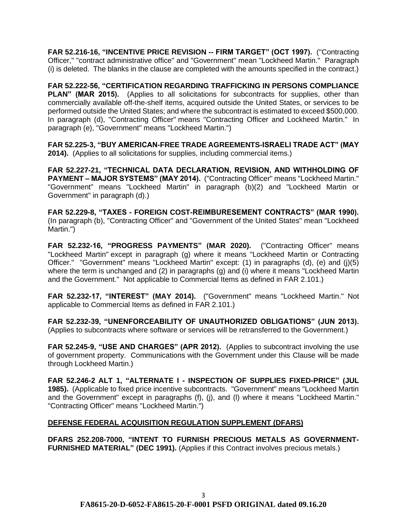**FAR 52.216-16, "INCENTIVE PRICE REVISION -- FIRM TARGET" (OCT 1997).** ("Contracting Officer," "contract administrative office" and "Government" mean "Lockheed Martin." Paragraph (i) is deleted. The blanks in the clause are completed with the amounts specified in the contract.)

**FAR 52.222-56, "CERTIFICATION REGARDING TRAFFICKING IN PERSONS COMPLIANCE PLAN" (MAR 2015).** (Applies to all solicitations for subcontracts for supplies, other than commercially available off-the-shelf items, acquired outside the United States, or services to be performed outside the United States; and where the subcontract is estimated to exceed \$500,000. In paragraph (d), "Contracting Officer" means "Contracting Officer and Lockheed Martin." In paragraph (e), "Government" means "Lockheed Martin.")

**FAR 52.225-3, "BUY AMERICAN-FREE TRADE AGREEMENTS-ISRAELI TRADE ACT" (MAY 2014).** (Applies to all solicitations for supplies, including commercial items.)

**FAR 52.227-21, "TECHNICAL DATA DECLARATION, REVISION, AND WITHHOLDING OF PAYMENT – MAJOR SYSTEMS" (MAY 2014).** ("Contracting Officer" means "Lockheed Martin." "Government" means "Lockheed Martin" in paragraph (b)(2) and "Lockheed Martin or Government" in paragraph (d).)

**FAR 52.229-8, "TAXES - FOREIGN COST-REIMBURESEMENT CONTRACTS" (MAR 1990).** (In paragraph (b), "Contracting Officer" and "Government of the United States" mean "Lockheed Martin.")

**FAR 52.232-16, "PROGRESS PAYMENTS" (MAR 2020).** ("Contracting Officer" means "Lockheed Martin" except in paragraph (g) where it means "Lockheed Martin or Contracting Officer." "Government" means "Lockheed Martin" except: (1) in paragraphs (d), (e) and (j)(5) where the term is unchanged and (2) in paragraphs (g) and (i) where it means "Lockheed Martin and the Government." Not applicable to Commercial Items as defined in FAR 2.101.)

**FAR 52.232-17, "INTEREST" (MAY 2014).** ("Government" means "Lockheed Martin." Not applicable to Commercial Items as defined in FAR 2.101.)

**FAR 52.232-39, "UNENFORCEABILITY OF UNAUTHORIZED OBLIGATIONS" (JUN 2013).** (Applies to subcontracts where software or services will be retransferred to the Government.)

**FAR 52.245-9, "USE AND CHARGES" (APR 2012).** (Applies to subcontract involving the use of government property. Communications with the Government under this Clause will be made through Lockheed Martin.)

**FAR 52.246-2 ALT 1, "ALTERNATE I - INSPECTION OF SUPPLIES FIXED-PRICE" (JUL 1985).** (Applicable to fixed price incentive subcontracts. "Government" means "Lockheed Martin and the Government" except in paragraphs (f), (j), and (l) where it means "Lockheed Martin." "Contracting Officer" means "Lockheed Martin.")

# **DEFENSE FEDERAL ACQUISITION REGULATION SUPPLEMENT (DFARS)**

**DFARS 252.208-7000, "INTENT TO FURNISH PRECIOUS METALS AS GOVERNMENT-FURNISHED MATERIAL" (DEC 1991).** (Applies if this Contract involves precious metals.)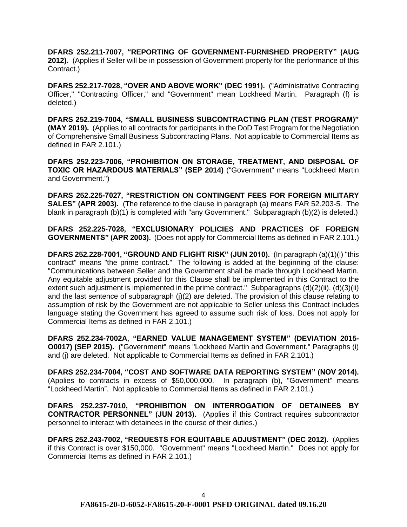**DFARS 252.211-7007, "REPORTING OF GOVERNMENT-FURNISHED PROPERTY" (AUG 2012).** (Applies if Seller will be in possession of Government property for the performance of this Contract.)

**DFARS 252.217-7028, "OVER AND ABOVE WORK" (DEC 1991).** ("Administrative Contracting Officer," "Contracting Officer," and "Government" mean Lockheed Martin. Paragraph (f) is deleted.)

**DFARS 252.219-7004, "SMALL BUSINESS SUBCONTRACTING PLAN (TEST PROGRAM)" (MAY 2019).** (Applies to all contracts for participants in the DoD Test Program for the Negotiation of Comprehensive Small Business Subcontracting Plans. Not applicable to Commercial Items as defined in FAR 2.101.)

**DFARS 252.223-7006, "PROHIBITION ON STORAGE, TREATMENT, AND DISPOSAL OF TOXIC OR HAZARDOUS MATERIALS" (SEP 2014)** ("Government" means "Lockheed Martin and Government.")

**DFARS 252.225-7027, "RESTRICTION ON CONTINGENT FEES FOR FOREIGN MILITARY SALES" (APR 2003).** (The reference to the clause in paragraph (a) means FAR 52.203-5. The blank in paragraph (b)(1) is completed with "any Government." Subparagraph (b)(2) is deleted.)

**DFARS 252.225-7028, "EXCLUSIONARY POLICIES AND PRACTICES OF FOREIGN GOVERNMENTS" (APR 2003).** (Does not apply for Commercial Items as defined in FAR 2.101.)

**DFARS 252.228-7001, "GROUND AND FLIGHT RISK" (JUN 2010).** (In paragraph (a)(1)(i) "this contract" means "the prime contract." The following is added at the beginning of the clause: "Communications between Seller and the Government shall be made through Lockheed Martin. Any equitable adjustment provided for this Clause shall be implemented in this Contract to the extent such adjustment is implemented in the prime contract." Subparagraphs (d)(2)(ii), (d)(3)(ii) and the last sentence of subparagraph (j)(2) are deleted. The provision of this clause relating to assumption of risk by the Government are not applicable to Seller unless this Contract includes language stating the Government has agreed to assume such risk of loss. Does not apply for Commercial Items as defined in FAR 2.101.)

**DFARS 252.234-7002A, "EARNED VALUE MANAGEMENT SYSTEM" (DEVIATION 2015- O0017) (SEP 2015).** ("Government" means "Lockheed Martin and Government." Paragraphs (i) and (j) are deleted. Not applicable to Commercial Items as defined in FAR 2.101.)

**DFARS 252.234-7004, "COST AND SOFTWARE DATA REPORTING SYSTEM" (NOV 2014).**  (Applies to contracts in excess of \$50,000,000. In paragraph (b), "Government" means "Lockheed Martin". Not applicable to Commercial Items as defined in FAR 2.101.)

**DFARS 252.237-7010, "PROHIBITION ON INTERROGATION OF DETAINEES BY CONTRACTOR PERSONNEL" (JUN 2013).** (Applies if this Contract requires subcontractor personnel to interact with detainees in the course of their duties.)

**DFARS 252.243-7002, "REQUESTS FOR EQUITABLE ADJUSTMENT" (DEC 2012).** (Applies if this Contract is over \$150,000. "Government" means "Lockheed Martin." Does not apply for Commercial Items as defined in FAR 2.101.)